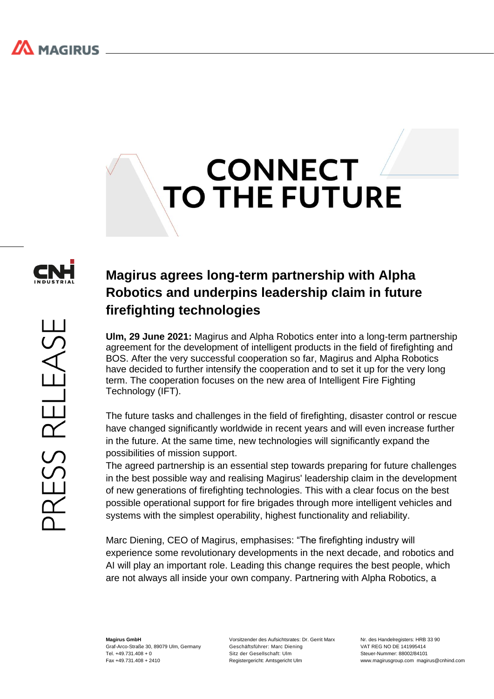## **CONNECT TO THE FUTURE**



## **Magirus agrees long-term partnership with Alpha Robotics and underpins leadership claim in future firefighting technologies**

**Ulm, 29 June 2021:** Magirus and Alpha Robotics enter into a long-term partnership agreement for the development of intelligent products in the field of firefighting and BOS. After the very successful cooperation so far, Magirus and Alpha Robotics have decided to further intensify the cooperation and to set it up for the very long term. The cooperation focuses on the new area of Intelligent Fire Fighting Technology (IFT).

The future tasks and challenges in the field of firefighting, disaster control or rescue have changed significantly worldwide in recent years and will even increase further in the future. At the same time, new technologies will significantly expand the possibilities of mission support.

The agreed partnership is an essential step towards preparing for future challenges in the best possible way and realising Magirus' leadership claim in the development of new generations of firefighting technologies. This with a clear focus on the best possible operational support for fire brigades through more intelligent vehicles and systems with the simplest operability, highest functionality and reliability.

Marc Diening, CEO of Magirus, emphasises: "The firefighting industry will experience some revolutionary developments in the next decade, and robotics and AI will play an important role. Leading this change requires the best people, which are not always all inside your own company. Partnering with Alpha Robotics, a

**Magirus GmbH** Graf-Arco-Straße 30, 89079 Ulm, Germany  $Tel +49731408 + 0$ Fax +49.731.408 + 2410

Vorsitzender des Aufsichtsrates: Dr. Gerrit Marx Geschäftsführer: Marc Diening Sitz der Gesellschaft: Ulm Registergericht: Amtsgericht Ulm

Nr. des Handelregisters: HRB 33.90 VAT REG NO DE 141995414 Steuer-Nummer: 88002/84101 www.magirusgroup.com magirus@cnhind.com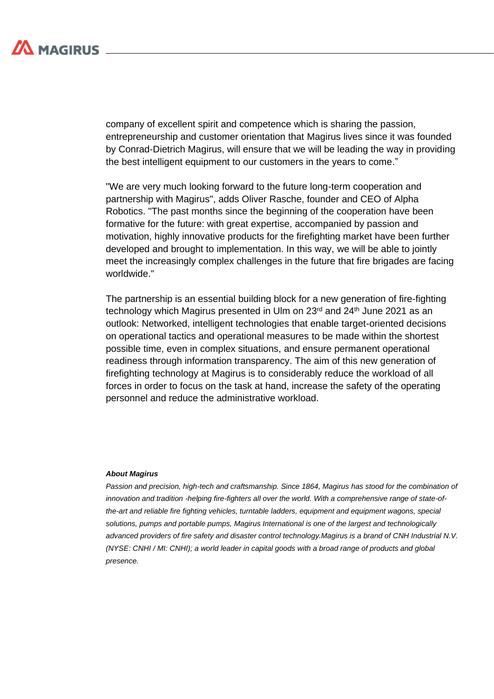

company of excellent spirit and competence which is sharing the passion, entrepreneurship and customer orientation that Magirus lives since it was founded by Conrad-Dietrich Magirus, will ensure that we will be leading the way in providing the best intelligent equipment to our customers in the years to come."

"We are very much looking forward to the future long-term cooperation and partnership with Magirus", adds Oliver Rasche, founder and CEO of Alpha Robotics. "The past months since the beginning of the cooperation have been formative for the future: with great expertise, accompanied by passion and motivation, highly innovative products for the firefighting market have been further developed and brought to implementation. In this way, we will be able to jointly meet the increasingly complex challenges in the future that fire brigades are facing worldwide."

The partnership is an essential building block for a new generation of fire-fighting technology which Magirus presented in Ulm on 23<sup>rd</sup> and 24<sup>th</sup> June 2021 as an outlook: Networked, intelligent technologies that enable target-oriented decisions on operational tactics and operational measures to be made within the shortest possible time, even in complex situations, and ensure permanent operational readiness through information transparency. The aim of this new generation of firefighting technology at Magirus is to considerably reduce the workload of all forces in order to focus on the task at hand, increase the safety of the operating personnel and reduce the administrative workload.

## *About Magirus*

*Passion and precision, high-tech and craftsmanship. Since 1864, Magirus has stood for the combination of innovation and tradition -helping fire-fighters all over the world. With a comprehensive range of state-ofthe-art and reliable fire fighting vehicles, turntable ladders, equipment and equipment wagons, special solutions, pumps and portable pumps, Magirus International is one of the largest and technologically advanced providers of fire safety and disaster control technology.Magirus is a brand of CNH Industrial N.V. (NYSE: CNHI / MI: CNHI); a world leader in capital goods with a broad range of products and global presence.*